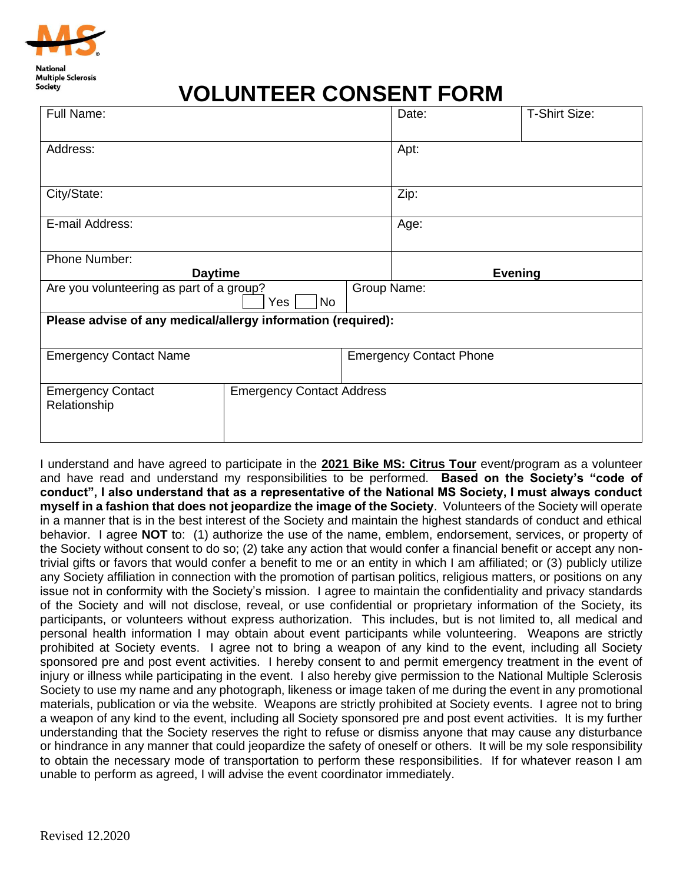

## **VOLUNTEER CONSENT FORM**

| Full Name:                                                           |                                  |                                | Date:          | <b>T-Shirt Size:</b> |
|----------------------------------------------------------------------|----------------------------------|--------------------------------|----------------|----------------------|
| Address:                                                             |                                  |                                | Apt:           |                      |
| City/State:                                                          |                                  |                                | Zip:           |                      |
| E-mail Address:                                                      |                                  |                                | Age:           |                      |
| Phone Number:                                                        |                                  |                                |                |                      |
| <b>Daytime</b>                                                       |                                  |                                | <b>Evening</b> |                      |
| Group Name:<br>Are you volunteering as part of a group?<br>No<br>Yes |                                  |                                |                |                      |
| Please advise of any medical/allergy information (required):         |                                  |                                |                |                      |
|                                                                      |                                  |                                |                |                      |
| <b>Emergency Contact Name</b>                                        |                                  | <b>Emergency Contact Phone</b> |                |                      |
| <b>Emergency Contact</b><br>Relationship                             | <b>Emergency Contact Address</b> |                                |                |                      |

I understand and have agreed to participate in the **2021 Bike MS: Citrus Tour** event/program as a volunteer and have read and understand my responsibilities to be performed. **Based on the Society's "code of conduct", I also understand that as a representative of the National MS Society, I must always conduct myself in a fashion that does not jeopardize the image of the Society**. Volunteers of the Society will operate in a manner that is in the best interest of the Society and maintain the highest standards of conduct and ethical behavior. I agree **NOT** to: (1) authorize the use of the name, emblem, endorsement, services, or property of the Society without consent to do so; (2) take any action that would confer a financial benefit or accept any nontrivial gifts or favors that would confer a benefit to me or an entity in which I am affiliated; or (3) publicly utilize any Society affiliation in connection with the promotion of partisan politics, religious matters, or positions on any issue not in conformity with the Society's mission. I agree to maintain the confidentiality and privacy standards of the Society and will not disclose, reveal, or use confidential or proprietary information of the Society, its participants, or volunteers without express authorization. This includes, but is not limited to, all medical and personal health information I may obtain about event participants while volunteering. Weapons are strictly prohibited at Society events. I agree not to bring a weapon of any kind to the event, including all Society sponsored pre and post event activities. I hereby consent to and permit emergency treatment in the event of injury or illness while participating in the event. I also hereby give permission to the National Multiple Sclerosis Society to use my name and any photograph, likeness or image taken of me during the event in any promotional materials, publication or via the website. Weapons are strictly prohibited at Society events. I agree not to bring a weapon of any kind to the event, including all Society sponsored pre and post event activities. It is my further understanding that the Society reserves the right to refuse or dismiss anyone that may cause any disturbance or hindrance in any manner that could jeopardize the safety of oneself or others. It will be my sole responsibility to obtain the necessary mode of transportation to perform these responsibilities. If for whatever reason I am unable to perform as agreed, I will advise the event coordinator immediately.